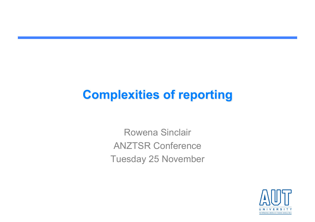### **Complexities of reporting**

Rowena Sinclair ANZTSR Conference Tuesday 25 November

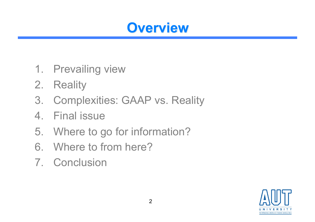### **Overview**

- 1. Prevailing view
- 2. Reality
- 3. Complexities: GAAP vs. Reality
- 4. Final issue
- 5. Where to go for information?
- 6. Where to from here?
- 7. Conclusion

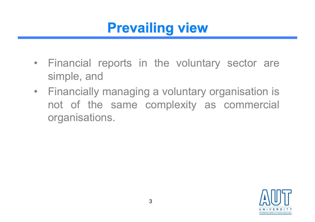### **Prevailing view**

- Financial reports in the voluntary sector are simple, and
- Financially managing a voluntary organisation is not of the same complexity as commercial organisations.

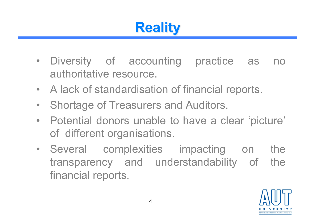## **Reality**

- Diversity of accounting practice as no authoritative resource.
- A lack of standardisation of financial reports.
- Shortage of Treasurers and Auditors.
- Potential donors unable to have a clear 'picture' of different organisations.
- Several complexities impacting on the transparency and understandability of the financial reports.

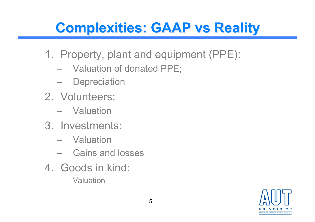## **Complexities: GAAP vs Reality**

- 1. Property, plant and equipment (PPE):
	- Valuation of donated PPE;
	- Depreciation
- 2. Volunteers:
	- Valuation
- 3. Investments:
	- Valuation
	- Gains and losses
- 4. Goods in kind:
	- Valuation

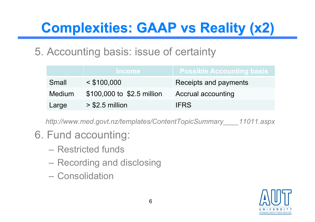# **Complexities: GAAP vs Reality (x2)**

#### 5. Accounting basis: issue of certainty

|               | <b>Income</b>              | $\blacksquare$ Possible Accounting basis $\blacksquare$ |
|---------------|----------------------------|---------------------------------------------------------|
| Small         | $<$ \$100,000              | Receipts and payments                                   |
| <b>Medium</b> | \$100,000 to \$2.5 million | Accrual accounting                                      |
| Large         | $>$ \$2.5 million          | <b>IFRS</b>                                             |

*http://www.med.govt.nz/templates/ContentTopicSummary\_\_\_\_11011.aspx*

### 6. Fund accounting:

- Restricted funds
- Recording and disclosing
- Consolidation

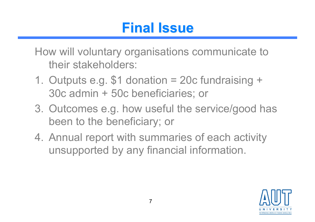## **Final Issue**

How will voluntary organisations communicate to their stakeholders:

- 1. Outputs e.g. \$1 donation = 20c fundraising + 30c admin + 50c beneficiaries; or
- 3. Outcomes e.g. how useful the service/good has been to the beneficiary; or
- 4. Annual report with summaries of each activity unsupported by any financial information.

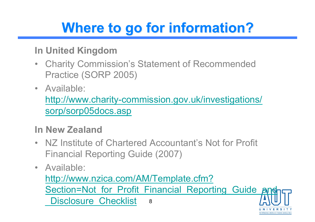# **Where to go for information?**

#### **In United Kingdom**

- Charity Commission's Statement of Recommended Practice (SORP 2005)
- Available:

http://www.charity-commission.gov.uk/investigations/ sorp/sorp05docs.asp

#### **In New Zealand**

- NZ Institute of Chartered Accountant's Not for Profit Financial Reporting Guide (2007)
- Available:

http://www.nzica.com/AM/Template.cfm? Section=Not for Profit Financial Reporting Guide Disclosure Checklist 8

TE WÄNANGA ARONIJI O TAMAKI MAKAILRA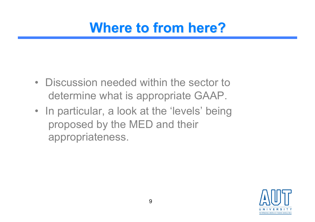- Discussion needed within the sector to determine what is appropriate GAAP.
- In particular, a look at the 'levels' being proposed by the MED and their appropriateness.